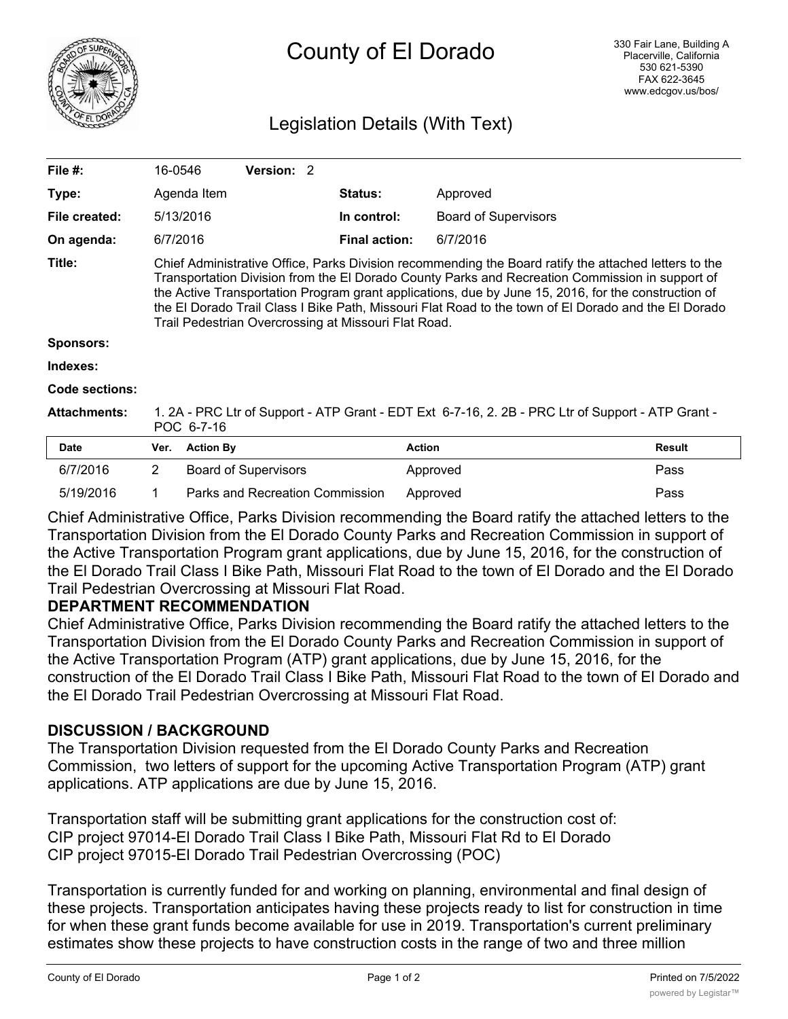

# Legislation Details (With Text)

| File #:             | 16-0546                                                                                                                                                                                                                                                                                                                                                                                                                                                                         |                | <b>Version: 2</b>           |  |                      |                             |               |
|---------------------|---------------------------------------------------------------------------------------------------------------------------------------------------------------------------------------------------------------------------------------------------------------------------------------------------------------------------------------------------------------------------------------------------------------------------------------------------------------------------------|----------------|-----------------------------|--|----------------------|-----------------------------|---------------|
| Type:               |                                                                                                                                                                                                                                                                                                                                                                                                                                                                                 | Agenda Item    |                             |  | <b>Status:</b>       | Approved                    |               |
| File created:       |                                                                                                                                                                                                                                                                                                                                                                                                                                                                                 | 5/13/2016      |                             |  | In control:          | <b>Board of Supervisors</b> |               |
| On agenda:          | 6/7/2016                                                                                                                                                                                                                                                                                                                                                                                                                                                                        |                |                             |  | <b>Final action:</b> | 6/7/2016                    |               |
| Title:              | Chief Administrative Office, Parks Division recommending the Board ratify the attached letters to the<br>Transportation Division from the El Dorado County Parks and Recreation Commission in support of<br>the Active Transportation Program grant applications, due by June 15, 2016, for the construction of<br>the El Dorado Trail Class I Bike Path, Missouri Flat Road to the town of El Dorado and the El Dorado<br>Trail Pedestrian Overcrossing at Missouri Flat Road. |                |                             |  |                      |                             |               |
| <b>Sponsors:</b>    |                                                                                                                                                                                                                                                                                                                                                                                                                                                                                 |                |                             |  |                      |                             |               |
| Indexes:            |                                                                                                                                                                                                                                                                                                                                                                                                                                                                                 |                |                             |  |                      |                             |               |
| Code sections:      |                                                                                                                                                                                                                                                                                                                                                                                                                                                                                 |                |                             |  |                      |                             |               |
| <b>Attachments:</b> | 1. 2A - PRC Ltr of Support - ATP Grant - EDT Ext 6-7-16, 2. 2B - PRC Ltr of Support - ATP Grant -<br>POC 6-7-16                                                                                                                                                                                                                                                                                                                                                                 |                |                             |  |                      |                             |               |
| <b>Date</b>         |                                                                                                                                                                                                                                                                                                                                                                                                                                                                                 | Ver. Action By |                             |  | <b>Action</b>        |                             | <b>Result</b> |
| 6/7/2016            | 2                                                                                                                                                                                                                                                                                                                                                                                                                                                                               |                | <b>Board of Supervisors</b> |  |                      | Approved                    | Pass          |

Chief Administrative Office, Parks Division recommending the Board ratify the attached letters to the Transportation Division from the El Dorado County Parks and Recreation Commission in support of the Active Transportation Program grant applications, due by June 15, 2016, for the construction of the El Dorado Trail Class I Bike Path, Missouri Flat Road to the town of El Dorado and the El Dorado Trail Pedestrian Overcrossing at Missouri Flat Road.

5/19/2016 1 Parks and Recreation Commission Approved Pass

#### **DEPARTMENT RECOMMENDATION**

Chief Administrative Office, Parks Division recommending the Board ratify the attached letters to the Transportation Division from the El Dorado County Parks and Recreation Commission in support of the Active Transportation Program (ATP) grant applications, due by June 15, 2016, for the construction of the El Dorado Trail Class I Bike Path, Missouri Flat Road to the town of El Dorado and the El Dorado Trail Pedestrian Overcrossing at Missouri Flat Road.

# **DISCUSSION / BACKGROUND**

The Transportation Division requested from the El Dorado County Parks and Recreation Commission, two letters of support for the upcoming Active Transportation Program (ATP) grant applications. ATP applications are due by June 15, 2016.

Transportation staff will be submitting grant applications for the construction cost of: CIP project 97014-El Dorado Trail Class I Bike Path, Missouri Flat Rd to El Dorado CIP project 97015-El Dorado Trail Pedestrian Overcrossing (POC)

Transportation is currently funded for and working on planning, environmental and final design of these projects. Transportation anticipates having these projects ready to list for construction in time for when these grant funds become available for use in 2019. Transportation's current preliminary estimates show these projects to have construction costs in the range of two and three million